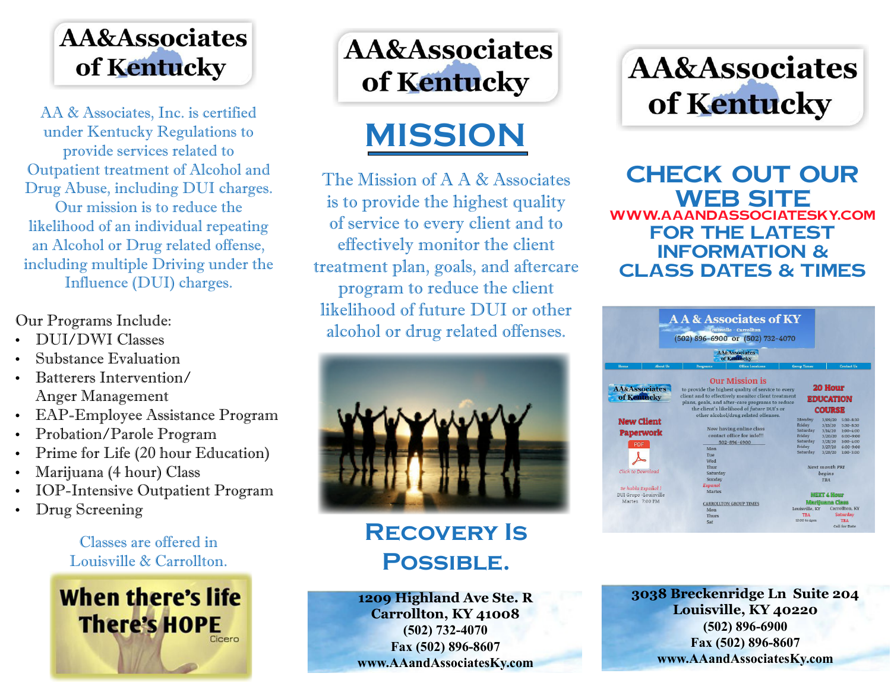## AA&Associates of Kentucky

AA & Associates, Inc. is certified under Kentucky Regulations to provide services related to Outpatient treatment of Alcohol and Drug Abuse, including DUI charges. Our mission is to reduce the likelihood of an individual repeating an Alcohol or Drug related offense, including multiple Driving under the Influence (DUI) charges.

### Our Programs Include:

- DUI/DWI Classes
- Substance Evaluation
- Batterers Intervention/ Anger Management
- • EAP-Employee Assistance Program
- Probation/Parole Program
- Prime for Life (20 hour Education)
- Marijuana (4 hour) Class
- IOP-Intensive Outpatient Program
- Drug Screening

Classes are offered in Louisville & Carrollton.



# **AA&Associates** of Kentucky

# **MISSION**

The Mission of A A & Associates is to provide the highest quality of service to every client and to effectively monitor the client treatment plan, goals, and aftercare program to reduce the client likelihood of future DUI or other alcohol or drug related offenses.



## **Recovery Is Possible.**

**1209 Highland Ave Ste. R Carrollton, KY 41008 (502) 732-4070 Fax (502) 896-8607 www.AAandAssociatesKy.com**

# **AA&Associates** of Kentucky

**Check Out Our Web Site www.AAandAssociatesKy.com For The Latest Information & Class Dates & Times**



**3038 Breckenridge Ln Suite 204 Louisville, KY 40220 (502) 896-6900 Fax (502) 896-8607 www.AAandAssociatesKy.com**